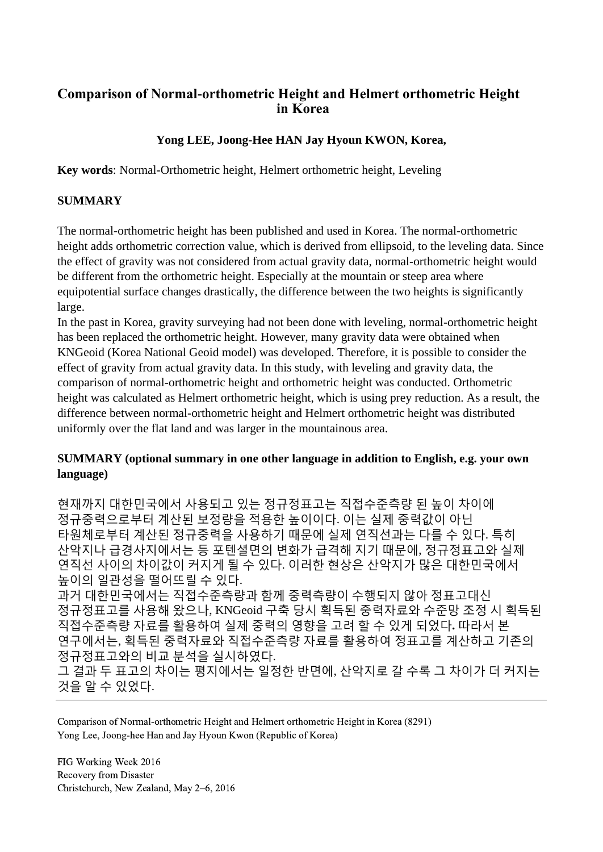# **Comparison of Normal-orthometric Height and Helmert orthometric Height in Korea**

## **Yong LEE, Joong-Hee HAN Jay Hyoun KWON, Korea,**

**Key words**: Normal-Orthometric height, Helmert orthometric height, Leveling

### **SUMMARY**

The normal-orthometric height has been published and used in Korea. The normal-orthometric height adds orthometric correction value, which is derived from ellipsoid, to the leveling data. Since the effect of gravity was not considered from actual gravity data, normal-orthometric height would be different from the orthometric height. Especially at the mountain or steep area where equipotential surface changes drastically, the difference between the two heights is significantly large.

In the past in Korea, gravity surveying had not been done with leveling, normal-orthometric height has been replaced the orthometric height. However, many gravity data were obtained when KNGeoid (Korea National Geoid model) was developed. Therefore, it is possible to consider the effect of gravity from actual gravity data. In this study, with leveling and gravity data, the comparison of normal-orthometric height and orthometric height was conducted. Orthometric height was calculated as Helmert orthometric height, which is using prey reduction. As a result, the difference between normal-orthometric height and Helmert orthometric height was distributed uniformly over the flat land and was larger in the mountainous area.

### **SUMMARY (optional summary in one other language in addition to English, e.g. your own language)**

현재까지 대한민국에서 사용되고 있는 정규정표고는 직접수준측량 된 높이 차이에 정규중력으로부터 계산된 보정량을 적용한 높이이다. 이는 실제 중력값이 아닌 타원체로부터 계산된 정규중력을 사용하기 때문에 실제 연직선과는 다를 수 있다. 특히 산악지나 급경사지에서는 등 포텐셜면의 변화가 급격해 지기 때문에, 정규정표고와 실제 연직선 사이의 차이값이 커지게 될 수 있다. 이러한 현상은 산악지가 많은 대한민국에서 높이의 일관성을 떨어뜨릴 수 있다. 과거 대한민국에서는 직접수준측량과 함께 중력측량이 수행되지 않아 정표고대신 정규정표고를 사용해 왔으나, KNGeoid 구축 당시 획득된 중력자료와 수준망 조정 시 획득된 직접수준측량 자료를 활용하여 실제 중력의 영향을 고려 할 수 있게 되었다**.** 따라서 본 연구에서는, 획득된 중력자료와 직접수준측량 자료를 활용하여 정표고를 계산하고 기존의 정규정표고와의 비교 분석을 실시하였다. 그 결과 두 표고의 차이는 평지에서는 일정한 반면에, 산악지로 갈 수록 그 차이가 더 커지는 것을 알 수 있었다.

Comparison of Normal-orthometric Height and Helmert orthometric Height in Korea (8291) Yong Lee, Joong-hee Han and Jay Hyoun Kwon (Republic of Korea)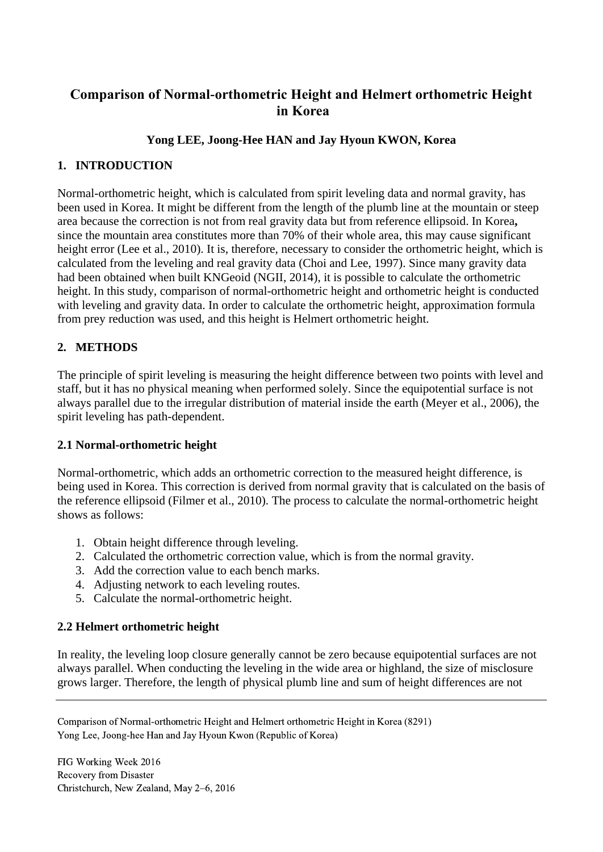# **Comparison of Normal-orthometric Height and Helmert orthometric Height in Korea**

## **Yong LEE, Joong-Hee HAN and Jay Hyoun KWON, Korea**

### **1. INTRODUCTION**

Normal-orthometric height, which is calculated from spirit leveling data and normal gravity, has been used in Korea. It might be different from the length of the plumb line at the mountain or steep area because the correction is not from real gravity data but from reference ellipsoid. In Korea**,** since the mountain area constitutes more than 70% of their whole area, this may cause significant height error (Lee et al., 2010). It is, therefore, necessary to consider the orthometric height, which is calculated from the leveling and real gravity data (Choi and Lee, 1997). Since many gravity data had been obtained when built KNGeoid (NGII, 2014), it is possible to calculate the orthometric height. In this study, comparison of normal-orthometric height and orthometric height is conducted with leveling and gravity data. In order to calculate the orthometric height, approximation formula from prey reduction was used, and this height is Helmert orthometric height.

## **2. METHODS**

The principle of spirit leveling is measuring the height difference between two points with level and staff, but it has no physical meaning when performed solely. Since the equipotential surface is not always parallel due to the irregular distribution of material inside the earth (Meyer et al., 2006), the spirit leveling has path-dependent.

### **2.1 Normal-orthometric height**

Normal-orthometric, which adds an orthometric correction to the measured height difference, is being used in Korea. This correction is derived from normal gravity that is calculated on the basis of the reference ellipsoid (Filmer et al., 2010). The process to calculate the normal-orthometric height shows as follows:

- 1. Obtain height difference through leveling.
- 2. Calculated the orthometric correction value, which is from the normal gravity.
- 3. Add the correction value to each bench marks.
- 4. Adjusting network to each leveling routes.
- 5. Calculate the normal-orthometric height.

#### **2.2 Helmert orthometric height**

In reality, the leveling loop closure generally cannot be zero because equipotential surfaces are not always parallel. When conducting the leveling in the wide area or highland, the size of misclosure grows larger. Therefore, the length of physical plumb line and sum of height differences are not

Comparison of Normal-orthometric Height and Helmert orthometric Height in Korea (8291) Yong Lee, Joong-hee Han and Jay Hyoun Kwon (Republic of Korea)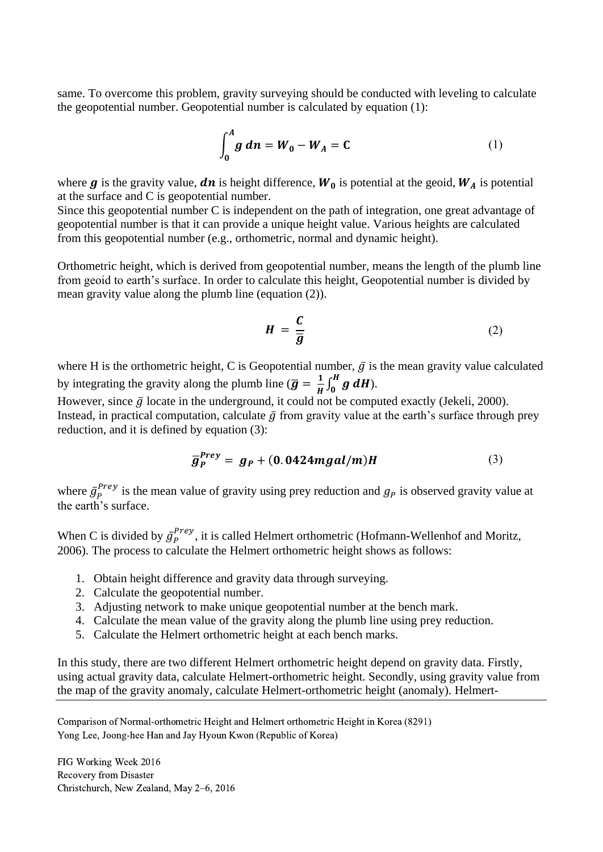same. To overcome this problem, gravity surveying should be conducted with leveling to calculate the geopotential number. Geopotential number is calculated by equation (1):

$$
\int_0^A g \, dn = W_0 - W_A = C \tag{1}
$$

where  $g$  is the gravity value,  $dn$  is height difference,  $W_0$  is potential at the geoid,  $W_A$  is potential at the surface and C is geopotential number.

Since this geopotential number C is independent on the path of integration, one great advantage of geopotential number is that it can provide a unique height value. Various heights are calculated from this geopotential number (e.g., orthometric, normal and dynamic height).

Orthometric height, which is derived from geopotential number, means the length of the plumb line from geoid to earth's surface. In order to calculate this height, Geopotential number is divided by mean gravity value along the plumb line (equation (2)).

$$
H = \frac{C}{\overline{g}} \tag{2}
$$

where H is the orthometric height, C is Geopotential number,  $\bar{g}$  is the mean gravity value calculated by integrating the gravity along the plumb line ( $\bar{g} = \frac{1}{n}$  $\frac{1}{H}\int_0^H g\ dH$ ).

However, since  $\bar{g}$  locate in the underground, it could not be computed exactly (Jekeli, 2000). Instead, in practical computation, calculate  $\bar{q}$  from gravity value at the earth's surface through prey reduction, and it is defined by equation (3):

$$
\overline{g}_P^{Prey} = g_P + (0.0424 mgal/m)H \qquad (3)
$$

where  $\bar{g}_P^{Prey}$  is the mean value of gravity using prey reduction and  $g_P$  is observed gravity value at the earth's surface.

When C is divided by  $\bar{g}_P^{Prey}$ , it is called Helmert orthometric (Hofmann-Wellenhof and Moritz, 2006). The process to calculate the Helmert orthometric height shows as follows:

- 1. Obtain height difference and gravity data through surveying.
- 2. Calculate the geopotential number.
- 3. Adjusting network to make unique geopotential number at the bench mark.
- 4. Calculate the mean value of the gravity along the plumb line using prey reduction.
- 5. Calculate the Helmert orthometric height at each bench marks.

In this study, there are two different Helmert orthometric height depend on gravity data. Firstly, using actual gravity data, calculate Helmert-orthometric height. Secondly, using gravity value from the map of the gravity anomaly, calculate Helmert-orthometric height (anomaly). Helmert-

Comparison of Normal-orthometric Height and Helmert orthometric Height in Korea (8291) Yong Lee, Joong-hee Han and Jay Hyoun Kwon (Republic of Korea)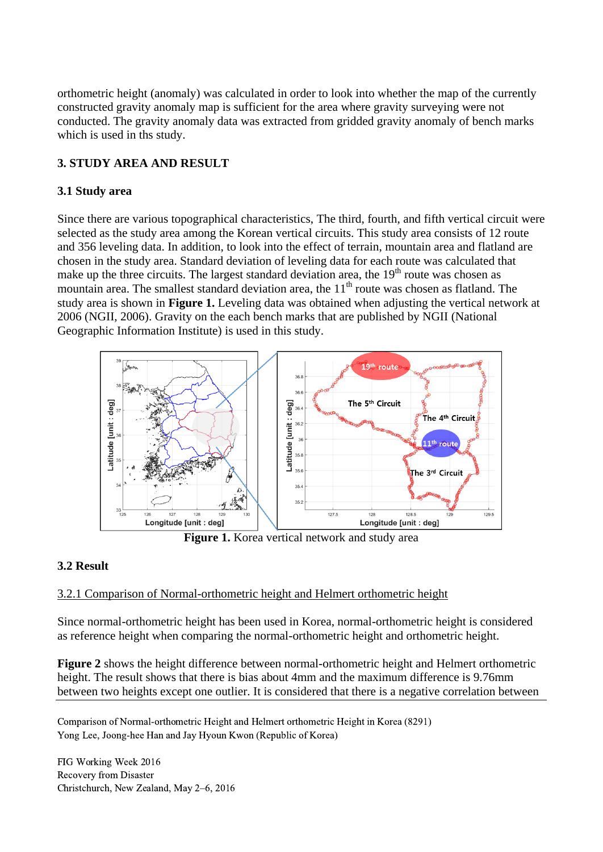orthometric height (anomaly) was calculated in order to look into whether the map of the currently constructed gravity anomaly map is sufficient for the area where gravity surveying were not conducted. The gravity anomaly data was extracted from gridded gravity anomaly of bench marks which is used in ths study.

## **3. STUDY AREA AND RESULT**

### **3.1 Study area**

Since there are various topographical characteristics, The third, fourth, and fifth vertical circuit were selected as the study area among the Korean vertical circuits. This study area consists of 12 route and 356 leveling data. In addition, to look into the effect of terrain, mountain area and flatland are chosen in the study area. Standard deviation of leveling data for each route was calculated that make up the three circuits. The largest standard deviation area, the  $19<sup>th</sup>$  route was chosen as mountain area. The smallest standard deviation area, the  $11<sup>th</sup>$  route was chosen as flatland. The study area is shown in **Figure 1.** Leveling data was obtained when adjusting the vertical network at 2006 (NGII, 2006). Gravity on the each bench marks that are published by NGII (National Geographic Information Institute) is used in this study.



**Figure 1.** Korea vertical network and study area

## **3.2 Result**

### 3.2.1 Comparison of Normal-orthometric height and Helmert orthometric height

Since normal-orthometric height has been used in Korea, normal-orthometric height is considered as reference height when comparing the normal-orthometric height and orthometric height.

**Figure 2** shows the height difference between normal-orthometric height and Helmert orthometric height. The result shows that there is bias about 4mm and the maximum difference is 9.76mm between two heights except one outlier. It is considered that there is a negative correlation between

Comparison of Normal-orthometric Height and Helmert orthometric Height in Korea (8291) Yong Lee, Joong-hee Han and Jay Hyoun Kwon (Republic of Korea)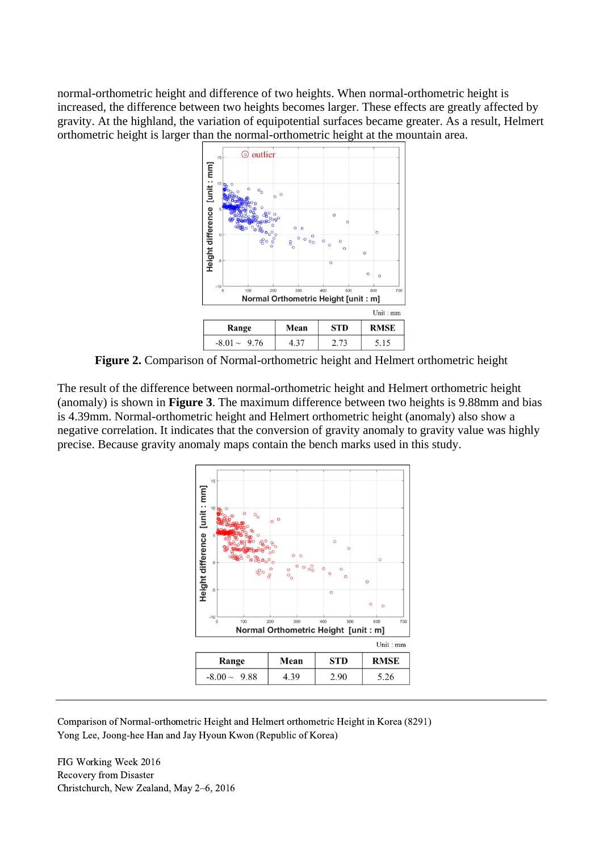normal-orthometric height and difference of two heights. When normal-orthometric height is increased, the difference between two heights becomes larger. These effects are greatly affected by gravity. At the highland, the variation of equipotential surfaces became greater. As a result, Helmert orthometric height is larger than the normal-orthometric height at the mountain area.



**Figure 2.** Comparison of Normal-orthometric height and Helmert orthometric height

The result of the difference between normal-orthometric height and Helmert orthometric height (anomaly) is shown in **Figure 3**. The maximum difference between two heights is 9.88mm and bias is 4.39mm. Normal-orthometric height and Helmert orthometric height (anomaly) also show a negative correlation. It indicates that the conversion of gravity anomaly to gravity value was highly precise. Because gravity anomaly maps contain the bench marks used in this study.



Comparison of Normal-orthometric Height and Helmert orthometric Height in Korea (8291) Yong Lee, Joong-hee Han and Jay Hyoun Kwon (Republic of Korea)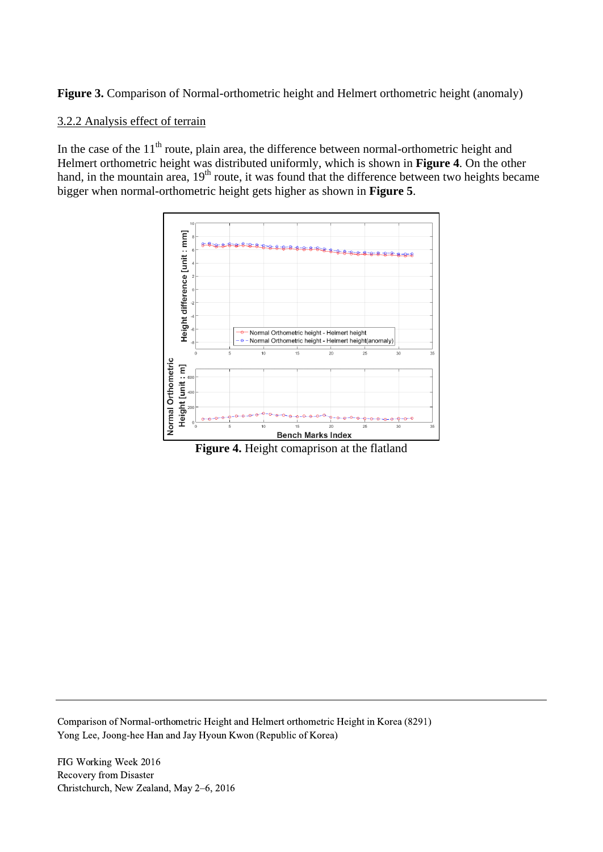Figure 3. Comparison of Normal-orthometric height and Helmert orthometric height (anomaly)

### 3.2.2 Analysis effect of terrain

In the case of the  $11<sup>th</sup>$  route, plain area, the difference between normal-orthometric height and Helmert orthometric height was distributed uniformly, which is shown in **Figure 4**. On the other hand, in the mountain area, 19<sup>th</sup> route, it was found that the difference between two heights became bigger when normal-orthometric height gets higher as shown in **Figure 5**.



**Figure 4.** Height comaprison at the flatland

Comparison of Normal-orthometric Height and Helmert orthometric Height in Korea (8291) Yong Lee, Joong-hee Han and Jay Hyoun Kwon (Republic of Korea)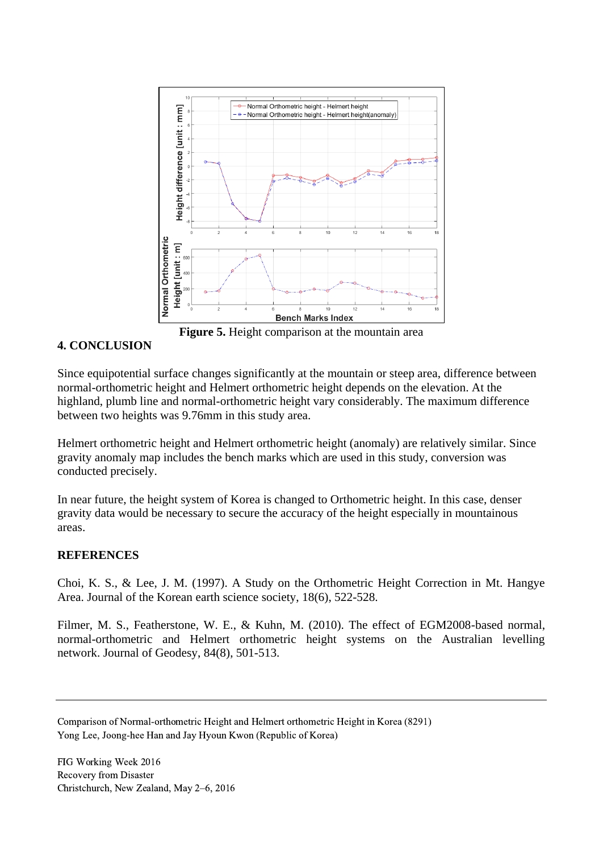

**Figure 5.** Height comparison at the mountain area

### **4. CONCLUSION**

Since equipotential surface changes significantly at the mountain or steep area, difference between normal-orthometric height and Helmert orthometric height depends on the elevation. At the highland, plumb line and normal-orthometric height vary considerably. The maximum difference between two heights was 9.76mm in this study area.

Helmert orthometric height and Helmert orthometric height (anomaly) are relatively similar. Since gravity anomaly map includes the bench marks which are used in this study, conversion was conducted precisely.

In near future, the height system of Korea is changed to Orthometric height. In this case, denser gravity data would be necessary to secure the accuracy of the height especially in mountainous areas.

### **REFERENCES**

Choi, K. S., & Lee, J. M. (1997). A Study on the Orthometric Height Correction in Mt. Hangye Area. Journal of the Korean earth science society, 18(6), 522-528.

Filmer, M. S., Featherstone, W. E., & Kuhn, M. (2010). The effect of EGM2008-based normal, normal-orthometric and Helmert orthometric height systems on the Australian levelling network. Journal of Geodesy, 84(8), 501-513.

Comparison of Normal-orthometric Height and Helmert orthometric Height in Korea (8291) Yong Lee, Joong-hee Han and Jay Hyoun Kwon (Republic of Korea)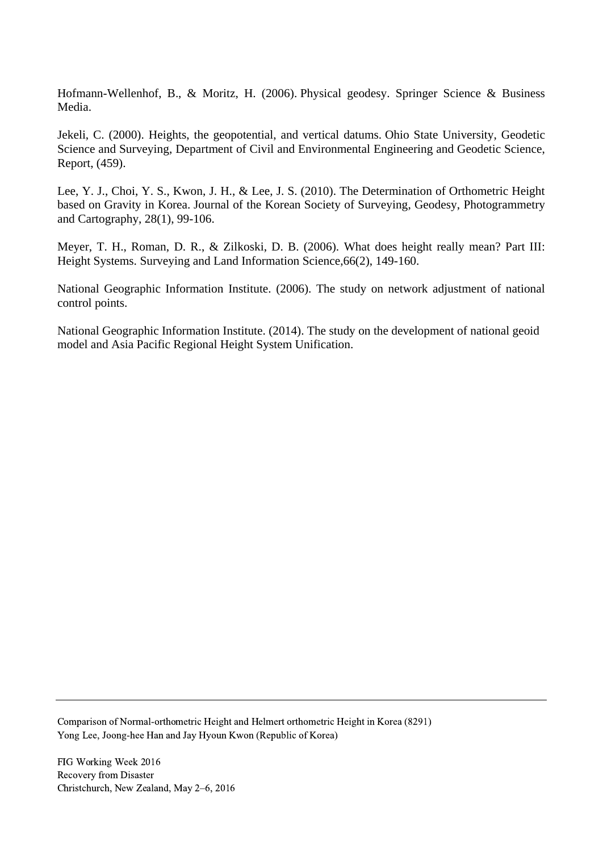Hofmann-Wellenhof, B., & Moritz, H. (2006). Physical geodesy. Springer Science & Business Media.

Jekeli, C. (2000). Heights, the geopotential, and vertical datums. Ohio State University, Geodetic Science and Surveying, Department of Civil and Environmental Engineering and Geodetic Science, Report, (459).

Lee, Y. J., Choi, Y. S., Kwon, J. H., & Lee, J. S. (2010). The Determination of Orthometric Height based on Gravity in Korea. Journal of the Korean Society of Surveying, Geodesy, Photogrammetry and Cartography, 28(1), 99-106.

Meyer, T. H., Roman, D. R., & Zilkoski, D. B. (2006). What does height really mean? Part III: Height Systems. Surveying and Land Information Science,66(2), 149-160.

National Geographic Information Institute. (2006). The study on network adjustment of national control points.

National Geographic Information Institute. (2014). The study on the development of national geoid model and Asia Pacific Regional Height System Unification.

Comparison of Normal-orthometric Height and Helmert orthometric Height in Korea (8291) Yong Lee, Joong-hee Han and Jay Hyoun Kwon (Republic of Korea)